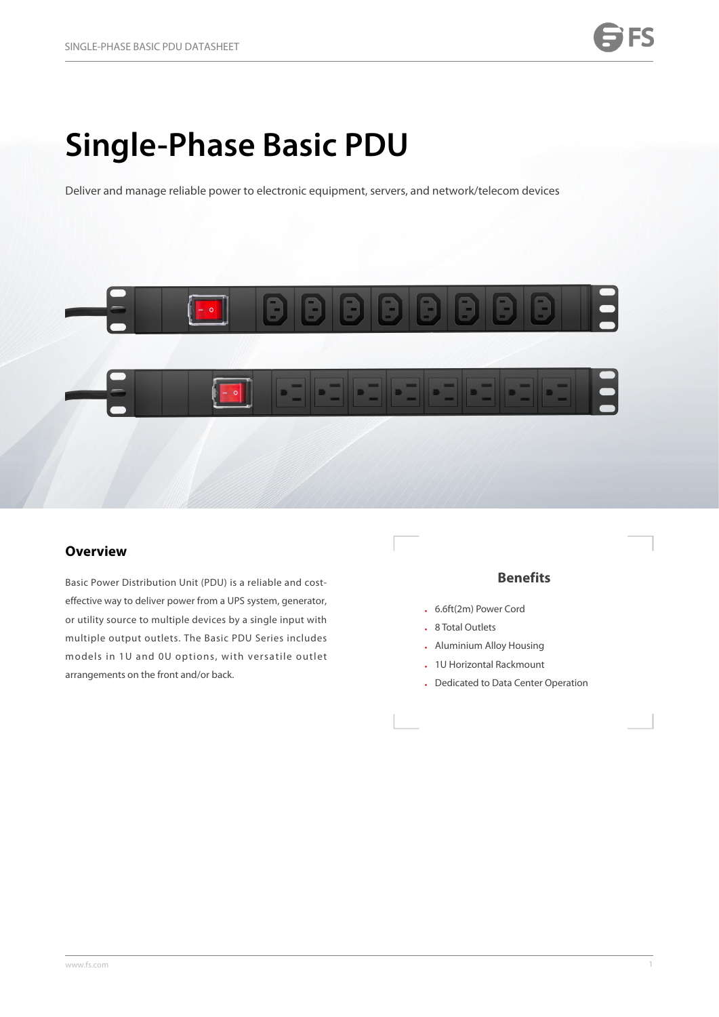# **Single-Phase Basic PDU**

Deliver and manage reliable power to electronic equipment, servers, and network/telecom devices



## **Overview**

Basic Power Distribution Unit (PDU) is a reliable and cost effective way to deliver power from a UPS system, generator, or utility source to multiple devices by a single input with multiple output outlets. The Basic PDU Series includes models in 1U and 0U options, with versatile outlet arrangements on the front and/or back.

### **Benefits**

- <sup>l</sup> 6.6ft(2m) Power Cord
- **.** 8 Total Outlets
- **.** Aluminium Alloy Housing
- **.** 1U Horizontal Rackmount
- **.** Dedicated to Data Center Operation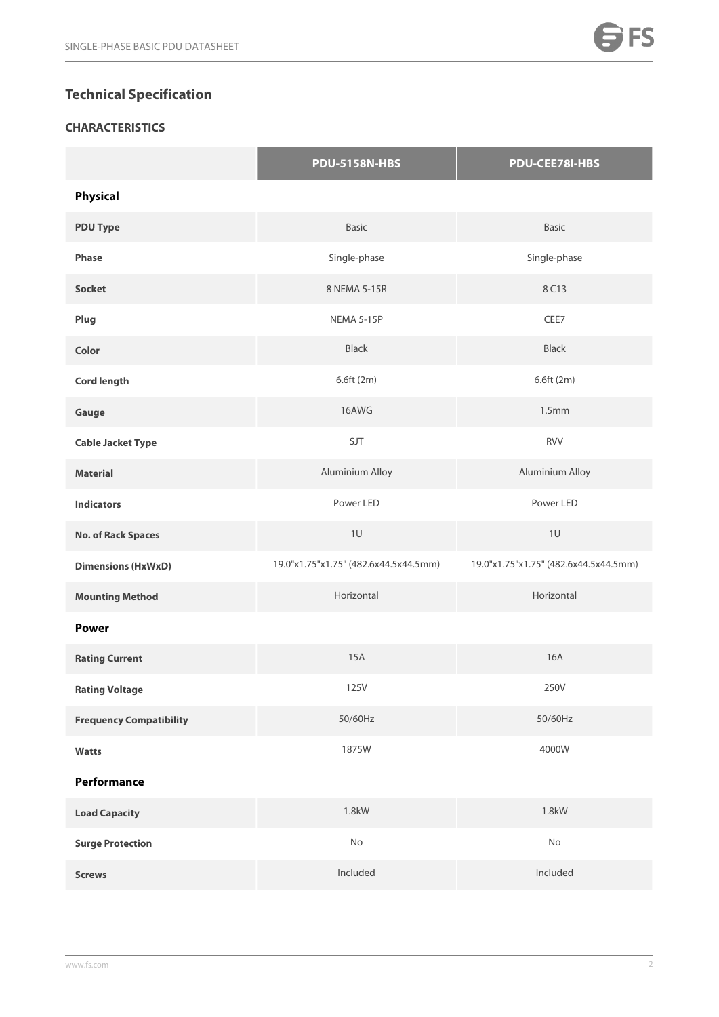# **Technical Specification**

# **CHARACTERISTICS**

|                                | <b>PDU-5158N-HBS</b>                  | PDU-CEE78I-HBS                        |
|--------------------------------|---------------------------------------|---------------------------------------|
| <b>Physical</b>                |                                       |                                       |
| <b>PDU Type</b>                | Basic                                 | <b>Basic</b>                          |
| Phase                          | Single-phase                          | Single-phase                          |
| <b>Socket</b>                  | 8 NEMA 5-15R                          | 8 C13                                 |
| Plug                           | NEMA 5-15P                            | CEE7                                  |
| Color                          | Black                                 | Black                                 |
| <b>Cord length</b>             | 6.6ft (2m)                            | 6.6ft (2m)                            |
| Gauge                          | 16AWG                                 | 1.5 <sub>mm</sub>                     |
| <b>Cable Jacket Type</b>       | SJT                                   | <b>RVV</b>                            |
| <b>Material</b>                | Aluminium Alloy                       | Aluminium Alloy                       |
| <b>Indicators</b>              | Power LED                             | Power LED                             |
| <b>No. of Rack Spaces</b>      | $1\,\mathrm{U}$                       | $1\,\mathrm{U}$                       |
| <b>Dimensions (HxWxD)</b>      | 19.0"x1.75"x1.75" (482.6x44.5x44.5mm) | 19.0"x1.75"x1.75" (482.6x44.5x44.5mm) |
| <b>Mounting Method</b>         | Horizontal                            | Horizontal                            |
| <b>Power</b>                   |                                       |                                       |
| <b>Rating Current</b>          | 15A                                   | 16A                                   |
| <b>Rating Voltage</b>          | 125V                                  | 250V                                  |
| <b>Frequency Compatibility</b> | 50/60Hz                               | 50/60Hz                               |
| Watts                          | 1875W                                 | 4000W                                 |
| Performance                    |                                       |                                       |
| <b>Load Capacity</b>           | 1.8kW                                 | 1.8kW                                 |
| <b>Surge Protection</b>        | No                                    | No                                    |
| <b>Screws</b>                  | Included                              | Included                              |